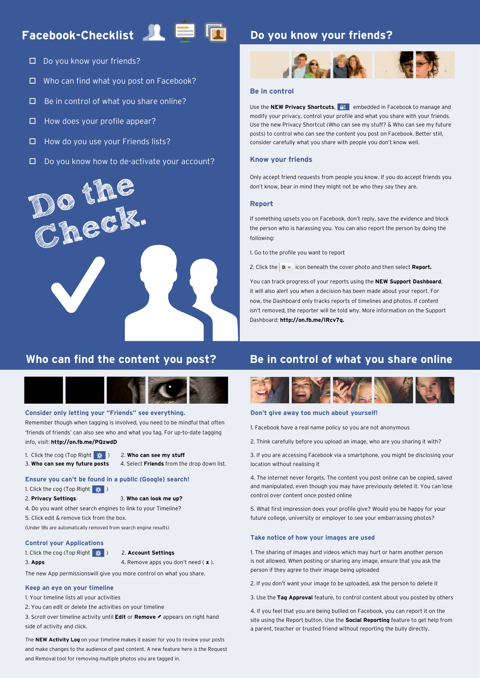# Facebook-Checklist<sup>1</sup>



## **Do you know your friends?**

- D Do you know your friends?
- □ Who can find what you post on Facebook?
- $\Box$  Be in control of what you share online?
- $\Box$  How does your profile appear?
- $\Box$  How do you use your Friends lists?
- $\Box$  Do you know how to de-activate your account?



## **Who can find the content you post?**



#### **Consider only letting your "Friends" see everything.**

Remember though when tagging is involved, you need to be mindful that often 'friends of friends' can also see who and what you tag. For up-to-date tagging info, visit: **http://on.fb.me/PQzwdD**

- 1. Click the cog (Top Right **)** 2. Who can see my stuff
	-

3. **Who can see my future posts** 4. Select **Friends** from the drop down list.

#### **Ensure you can't be found in a public (Google) search!**

- 1. Click the cog (Top Right # )
- 2. **Privacy Settings** 3. **Who can look me up?**
- 4. Do you want other search engines to link to your Timeline?
- 5. Click edit & remove tick from the box.

(Under 18s are automatically removed from search engine results)

#### **Control your Applications**

1. Click the cog (Top Right ) 2. **Account Settings**

3. **Apps** 4. Remove apps you don't need ( **x** ).

The new App permissionswill give you more control on what you share.

#### **Keep an eye on your timeline**

1. Your timeline lists all your activities

2. You can edit or delete the activities on your timeline

3. Scroll over timeline activity until **Edit** or **Remove** & appears on right hand side of activity and click.

The **NEW Activity Log** on your timeline makes it easier for you to review your posts and make changes to the audience of past content. A new feature here is the Request and Removal tool for removing multiple photos you are tagged in.

#### **Be in control**

Use the **NEW Privacy Shortcuts, A. A.** embedded in Facebook to manage and modify your privacy, control your profile and what you share with your friends. Use the new Privacy Shortcut (Who can see my stuff? & Who can see my future posts) to control who can see the content you post on Facebook. Better still, consider carefully what you share with people you don't know well.

### **Know your friends**

Only accept friend requests from people you know. If you do accept friends you don't know, bear in mind they might not be who they say they are.

### **Report**

If something upsets you on Facebook, don't reply, save the evidence and block the person who is harassing you. You can also report the person by doing the following:

1. Go to the profile you want to report

2. Click the  $\frac{1}{2}$  icon beneath the cover photo and then select **Report.** 

You can track progress of your reports using the **NEW Support Dashboard**, it will also alert you when a decision has been made about your report. For now, the Dashboard only tracks reports of timelines and photos. If content isn't removed, the reporter will be told why. More information on the Support Dashboard: **http://on.fb.me/IRcv7q.**

### **Be in control of what you share online**



### **Don't give away too much about yourself!**

1. Facebook have a real name policy so you are not anonymous

2. Think carefully before you upload an image, who are you sharing it with?

3. If you are accessing Facebook via a smartphone, you might be disclosing your location without realising it

4. The internet never forgets. The content you post online can be copied, saved and manipulated, even though you may have previously deleted it. You can lose control over content once posted online

5. What first impression does your profile give? Would you be happy for your future college, university or employer to see your embarrassing photos?

#### **Take notice of how your images are used**

1. The sharing of images and videos which may hurt or harm another person is not allowed. When posting or sharing any image, ensure that you ask the person if they agree to their image being uploaded

2. If you don't want your image to be uploaded, ask the person to delete it

3. Use the **Tag Approval** feature, to control content about you posted by others

4. If you feel that you are being bullied on Facebook, you can report it on the site using the Report button. Use the **Social Reporting** feature to get help from a parent, teacher or trusted friend without reporting the bully directly.